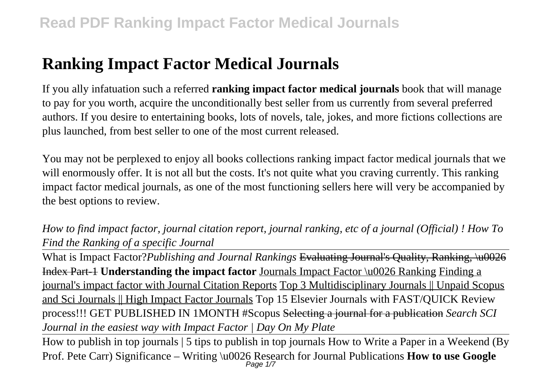# **Ranking Impact Factor Medical Journals**

If you ally infatuation such a referred **ranking impact factor medical journals** book that will manage to pay for you worth, acquire the unconditionally best seller from us currently from several preferred authors. If you desire to entertaining books, lots of novels, tale, jokes, and more fictions collections are plus launched, from best seller to one of the most current released.

You may not be perplexed to enjoy all books collections ranking impact factor medical journals that we will enormously offer. It is not all but the costs. It's not quite what you craving currently. This ranking impact factor medical journals, as one of the most functioning sellers here will very be accompanied by the best options to review.

*How to find impact factor, journal citation report, journal ranking, etc of a journal (Official) ! How To Find the Ranking of a specific Journal*

What is Impact Factor?*Publishing and Journal Rankings* Evaluating Journal's Quality, Ranking, \u0026 Index Part-1 **Understanding the impact factor** Journals Impact Factor \u0026 Ranking Finding a journal's impact factor with Journal Citation Reports Top 3 Multidisciplinary Journals || Unpaid Scopus and Sci Journals || High Impact Factor Journals Top 15 Elsevier Journals with FAST/QUICK Review process!!! GET PUBLISHED IN 1MONTH #Scopus Selecting a journal for a publication *Search SCI Journal in the easiest way with Impact Factor | Day On My Plate*

How to publish in top journals | 5 tips to publish in top journals How to Write a Paper in a Weekend (By Prof. Pete Carr) Significance – Writing \u0026 Research for Journal Publications **How to use Google** Page 1/7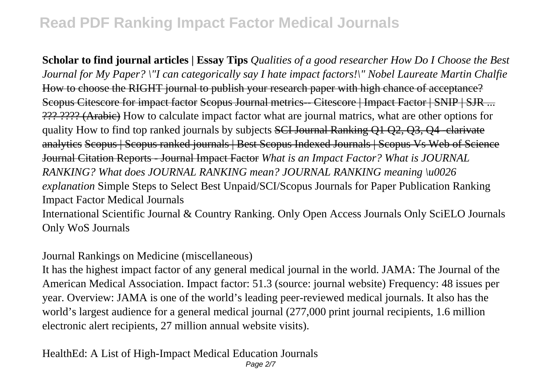**Scholar to find journal articles | Essay Tips** *Qualities of a good researcher How Do I Choose the Best Journal for My Paper? \"I can categorically say I hate impact factors!\" Nobel Laureate Martin Chalfie* How to choose the RIGHT journal to publish your research paper with high chance of acceptance? Scopus Citescore for impact factor Scopus Journal metrics-- Citescore | Impact Factor | SNIP | SJR ... ??? ???? (Arabic) How to calculate impact factor what are journal matrics, what are other options for quality How to find top ranked journals by subjects SCI Journal Ranking Q1 Q2, Q3, Q4 -clarivate analytics Scopus | Scopus ranked journals | Best Scopus Indexed Journals | Scopus Vs Web of Science Journal Citation Reports - Journal Impact Factor *What is an Impact Factor? What is JOURNAL RANKING? What does JOURNAL RANKING mean? JOURNAL RANKING meaning \u0026 explanation* Simple Steps to Select Best Unpaid/SCI/Scopus Journals for Paper Publication Ranking Impact Factor Medical Journals

International Scientific Journal & Country Ranking. Only Open Access Journals Only SciELO Journals Only WoS Journals

Journal Rankings on Medicine (miscellaneous)

It has the highest impact factor of any general medical journal in the world. JAMA: The Journal of the American Medical Association. Impact factor: 51.3 (source: journal website) Frequency: 48 issues per year. Overview: JAMA is one of the world's leading peer-reviewed medical journals. It also has the world's largest audience for a general medical journal (277,000 print journal recipients, 1.6 million electronic alert recipients, 27 million annual website visits).

HealthEd: A List of High-Impact Medical Education Journals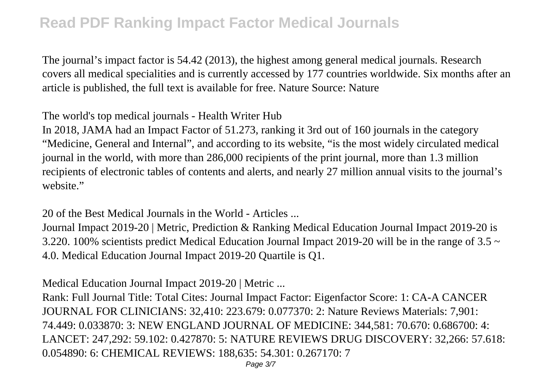The journal's impact factor is 54.42 (2013), the highest among general medical journals. Research covers all medical specialities and is currently accessed by 177 countries worldwide. Six months after an article is published, the full text is available for free. Nature Source: Nature

The world's top medical journals - Health Writer Hub

In 2018, JAMA had an Impact Factor of 51.273, ranking it 3rd out of 160 journals in the category "Medicine, General and Internal", and according to its website, "is the most widely circulated medical journal in the world, with more than 286,000 recipients of the print journal, more than 1.3 million recipients of electronic tables of contents and alerts, and nearly 27 million annual visits to the journal's website."

20 of the Best Medical Journals in the World - Articles ...

Journal Impact 2019-20 | Metric, Prediction & Ranking Medical Education Journal Impact 2019-20 is 3.220. 100% scientists predict Medical Education Journal Impact 2019-20 will be in the range of  $3.5 \sim$ 4.0. Medical Education Journal Impact 2019-20 Quartile is Q1.

Medical Education Journal Impact 2019-20 | Metric ...

Rank: Full Journal Title: Total Cites: Journal Impact Factor: Eigenfactor Score: 1: CA-A CANCER JOURNAL FOR CLINICIANS: 32,410: 223.679: 0.077370: 2: Nature Reviews Materials: 7,901: 74.449: 0.033870: 3: NEW ENGLAND JOURNAL OF MEDICINE: 344,581: 70.670: 0.686700: 4: LANCET: 247,292: 59.102: 0.427870: 5: NATURE REVIEWS DRUG DISCOVERY: 32,266: 57.618: 0.054890: 6: CHEMICAL REVIEWS: 188,635: 54.301: 0.267170: 7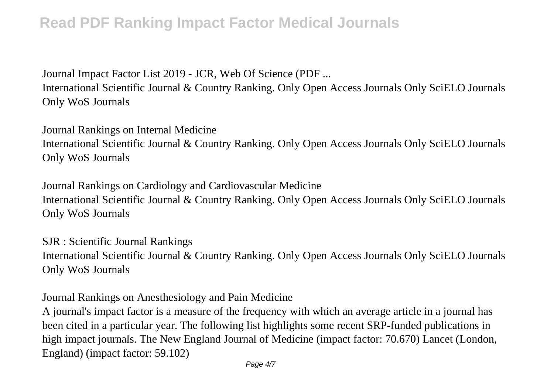Journal Impact Factor List 2019 - JCR, Web Of Science (PDF ...

International Scientific Journal & Country Ranking. Only Open Access Journals Only SciELO Journals Only WoS Journals

Journal Rankings on Internal Medicine International Scientific Journal & Country Ranking. Only Open Access Journals Only SciELO Journals Only WoS Journals

Journal Rankings on Cardiology and Cardiovascular Medicine International Scientific Journal & Country Ranking. Only Open Access Journals Only SciELO Journals Only WoS Journals

SJR : Scientific Journal Rankings International Scientific Journal & Country Ranking. Only Open Access Journals Only SciELO Journals Only WoS Journals

Journal Rankings on Anesthesiology and Pain Medicine

A journal's impact factor is a measure of the frequency with which an average article in a journal has been cited in a particular year. The following list highlights some recent SRP-funded publications in high impact journals. The New England Journal of Medicine (impact factor: 70.670) Lancet (London, England) (impact factor: 59.102)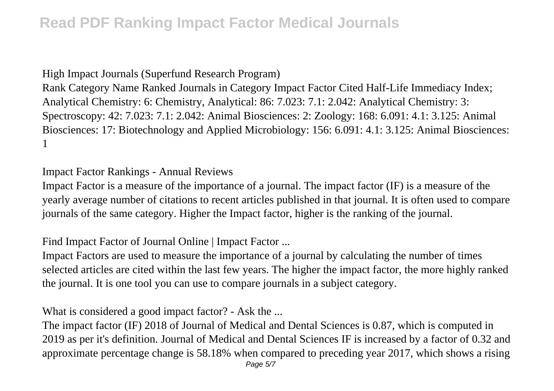High Impact Journals (Superfund Research Program)

Rank Category Name Ranked Journals in Category Impact Factor Cited Half-Life Immediacy Index; Analytical Chemistry: 6: Chemistry, Analytical: 86: 7.023: 7.1: 2.042: Analytical Chemistry: 3: Spectroscopy: 42: 7.023: 7.1: 2.042: Animal Biosciences: 2: Zoology: 168: 6.091: 4.1: 3.125: Animal Biosciences: 17: Biotechnology and Applied Microbiology: 156: 6.091: 4.1: 3.125: Animal Biosciences: 1

Impact Factor Rankings - Annual Reviews

Impact Factor is a measure of the importance of a journal. The impact factor (IF) is a measure of the yearly average number of citations to recent articles published in that journal. It is often used to compare journals of the same category. Higher the Impact factor, higher is the ranking of the journal.

Find Impact Factor of Journal Online | Impact Factor ...

Impact Factors are used to measure the importance of a journal by calculating the number of times selected articles are cited within the last few years. The higher the impact factor, the more highly ranked the journal. It is one tool you can use to compare journals in a subject category.

What is considered a good impact factor? - Ask the ...

The impact factor (IF) 2018 of Journal of Medical and Dental Sciences is 0.87, which is computed in 2019 as per it's definition. Journal of Medical and Dental Sciences IF is increased by a factor of 0.32 and approximate percentage change is 58.18% when compared to preceding year 2017, which shows a rising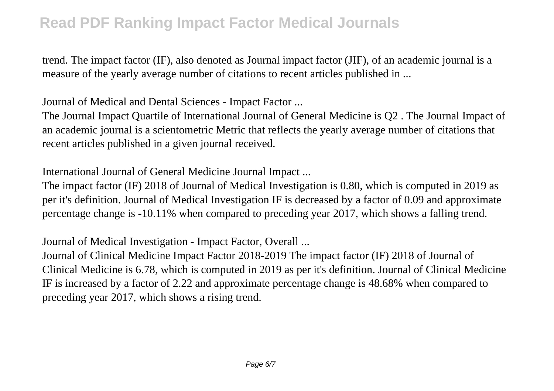trend. The impact factor (IF), also denoted as Journal impact factor (JIF), of an academic journal is a measure of the yearly average number of citations to recent articles published in ...

Journal of Medical and Dental Sciences - Impact Factor ...

The Journal Impact Quartile of International Journal of General Medicine is Q2 . The Journal Impact of an academic journal is a scientometric Metric that reflects the yearly average number of citations that recent articles published in a given journal received.

International Journal of General Medicine Journal Impact ...

The impact factor (IF) 2018 of Journal of Medical Investigation is 0.80, which is computed in 2019 as per it's definition. Journal of Medical Investigation IF is decreased by a factor of 0.09 and approximate percentage change is -10.11% when compared to preceding year 2017, which shows a falling trend.

Journal of Medical Investigation - Impact Factor, Overall ...

Journal of Clinical Medicine Impact Factor 2018-2019 The impact factor (IF) 2018 of Journal of Clinical Medicine is 6.78, which is computed in 2019 as per it's definition. Journal of Clinical Medicine IF is increased by a factor of 2.22 and approximate percentage change is 48.68% when compared to preceding year 2017, which shows a rising trend.